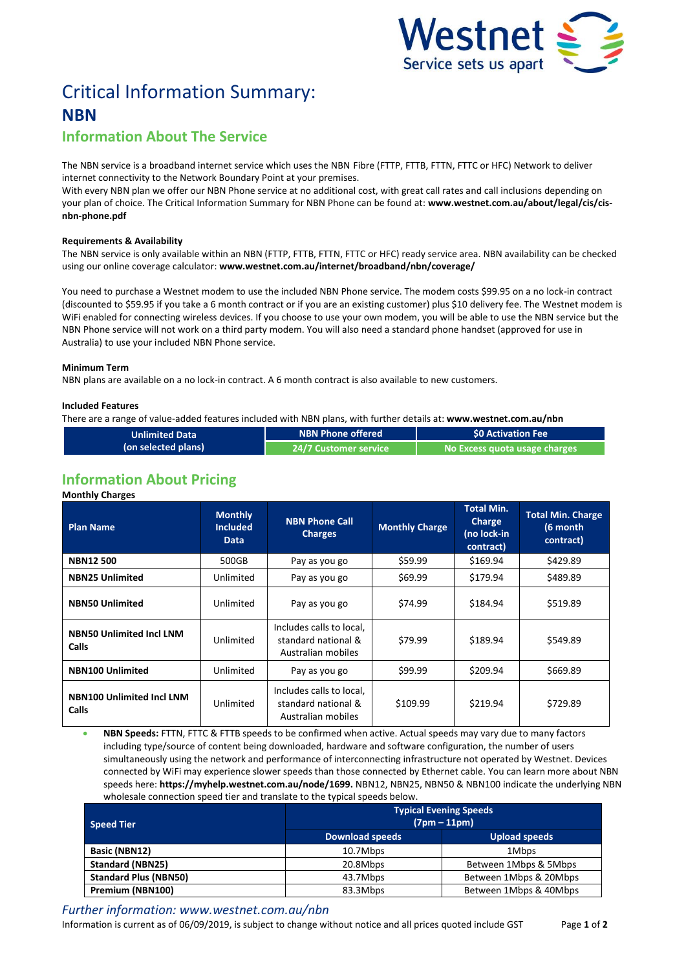

# Critical Information Summary: **NBN**

# **Information About The Service**

The NBN service is a broadband internet service which uses the NBNFibre (FTTP, FTTB, FTTN, FTTC or HFC) Network to deliver internet connectivity to the Network Boundary Point at your premises.

With every NBN plan we offer our NBN Phone service at no additional cost, with great call rates and call inclusions depending on your plan of choice. The Critical Information Summary for NBN Phone can be found at: **www.westnet.com.au/about/legal/cis/cisnbn-phone.pdf**

# **Requirements & Availability**

The NBN service is only available within an NBN (FTTP, FTTB, FTTN, FTTC or HFC) ready service area. NBN availability can be checked using our online coverage calculator: **www.westnet.com.au/internet/broadband/nbn/coverage/**

You need to purchase a Westnet modem to use the included NBN Phone service. The modem costs \$99.95 on a no lock-in contract (discounted to \$59.95 if you take a 6 month contract or if you are an existing customer) plus \$10 delivery fee. The Westnet modem is WiFi enabled for connecting wireless devices. If you choose to use your own modem, you will be able to use the NBN service but the NBN Phone service will not work on a third party modem. You will also need a standard phone handset (approved for use in Australia) to use your included NBN Phone service.

#### **Minimum Term**

NBN plans are available on a no lock-in contract. A 6 month contract is also available to new customers.

# **Included Features**

There are a range of value-added features included with NBN plans, with further details at: **www.westnet.com.au/nbn**

| <b>Unlimited Data</b> | NBN Phone offered '            | \$0 Activation Fee            |  |
|-----------------------|--------------------------------|-------------------------------|--|
| (on selected plans)   | 24/7 Customer service <b>\</b> | No Excess quota usage charges |  |

# **Information About Pricing**

#### **Monthly Charges**

| <b>Plan Name</b>                          | <b>Monthly</b><br><b>Included</b><br>Data | <b>NBN Phone Call</b><br><b>Charges</b>                               | <b>Monthly Charge</b> | <b>Total Min.</b><br>Charge<br>(no lock-in<br>contract) | <b>Total Min. Charge</b><br>(6 month<br>contract) |
|-------------------------------------------|-------------------------------------------|-----------------------------------------------------------------------|-----------------------|---------------------------------------------------------|---------------------------------------------------|
| <b>NBN12500</b>                           | 500GB                                     | Pay as you go                                                         | \$59.99               | \$169.94                                                | \$429.89                                          |
| <b>NBN25 Unlimited</b>                    | Unlimited                                 | Pay as you go                                                         | \$69.99               | \$179.94                                                | \$489.89                                          |
| <b>NBN50 Unlimited</b>                    | Unlimited                                 | Pay as you go                                                         | \$74.99               | \$184.94                                                | \$519.89                                          |
| <b>NBN50 Unlimited Incl LNM</b><br>Calls  | Unlimited                                 | Includes calls to local,<br>standard national &<br>Australian mobiles | \$79.99               | \$189.94                                                | \$549.89                                          |
| <b>NBN100 Unlimited</b>                   | Unlimited                                 | Pay as you go                                                         | \$99.99               | \$209.94                                                | \$669.89                                          |
| <b>NBN100 Unlimited Incl LNM</b><br>Calls | Unlimited                                 | Includes calls to local,<br>standard national &<br>Australian mobiles | \$109.99              | \$219.94                                                | \$729.89                                          |

 **NBN Speeds:** FTTN, FTTC & FTTB speeds to be confirmed when active. Actual speeds may vary due to many factors including type/source of content being downloaded, hardware and software configuration, the number of users simultaneously using the network and performance of interconnecting infrastructure not operated by Westnet. Devices connected by WiFi may experience slower speeds than those connected by Ethernet cable. You can learn more about NBN speeds here: **https://myhelp.westnet.com.au/node/1699.** NBN12, NBN25, NBN50 & NBN100 indicate the underlying NBN wholesale connection speed tier and translate to the typical speeds below.

| <b>Speed Tier</b>            | <b>Typical Evening Speeds</b><br>$(7pm - 11pm)$ |                        |  |  |
|------------------------------|-------------------------------------------------|------------------------|--|--|
|                              | <b>Download speeds</b>                          | <b>Upload speeds</b>   |  |  |
| Basic (NBN12)                | 10.7Mbps                                        | 1Mbps                  |  |  |
| <b>Standard (NBN25)</b>      | 20.8Mbps                                        | Between 1Mbps & 5Mbps  |  |  |
| <b>Standard Plus (NBN50)</b> | 43.7Mbps                                        | Between 1Mbps & 20Mbps |  |  |
| Premium (NBN100)             | 83.3Mbps                                        | Between 1Mbps & 40Mbps |  |  |

*Further information: www.westnet.com.au/nbn*

Information is current as of 06/09/2019, is subject to change without notice and all prices quoted include GST Page **1** of **2**